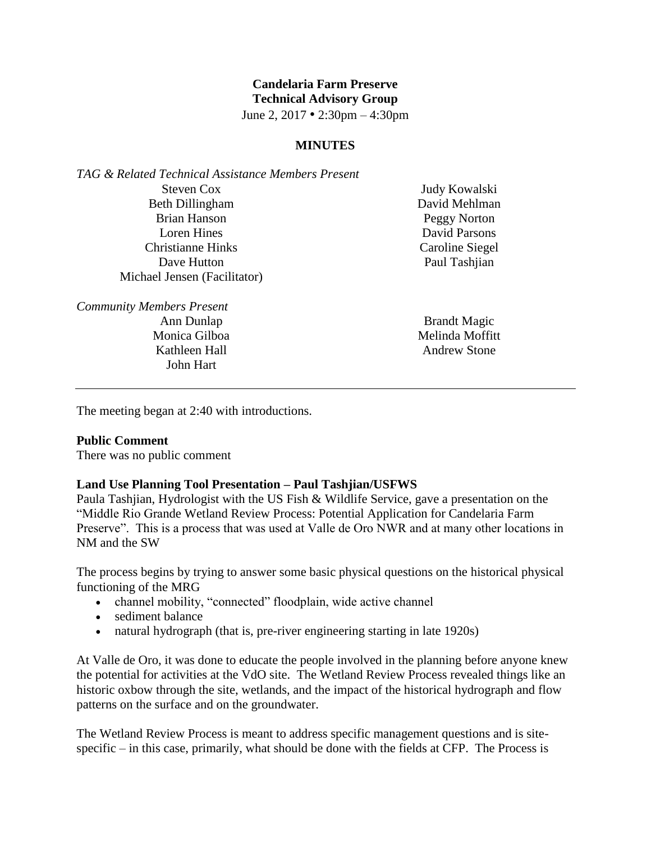# **Candelaria Farm Preserve Technical Advisory Group**

June 2, 2017 • 2:30pm – 4:30pm

### **MINUTES**

*TAG & Related Technical Assistance Members Present* Steven Cox Beth Dillingham Brian Hanson Loren Hines Christianne Hinks Dave Hutton Michael Jensen (Facilitator)

*Community Members Present* Ann Dunlap

Monica Gilboa Kathleen Hall John Hart

Judy Kowalski David Mehlman Peggy Norton David Parsons Caroline Siegel Paul Tashjian

Brandt Magic Melinda Moffitt Andrew Stone

The meeting began at 2:40 with introductions.

#### **Public Comment**

There was no public comment

### **Land Use Planning Tool Presentation – Paul Tashjian/USFWS**

Paula Tashjian, Hydrologist with the US Fish & Wildlife Service, gave a presentation on the "Middle Rio Grande Wetland Review Process: Potential Application for Candelaria Farm Preserve". This is a process that was used at Valle de Oro NWR and at many other locations in NM and the SW

The process begins by trying to answer some basic physical questions on the historical physical functioning of the MRG

- channel mobility, "connected" floodplain, wide active channel
- sediment balance
- natural hydrograph (that is, pre-river engineering starting in late 1920s)

At Valle de Oro, it was done to educate the people involved in the planning before anyone knew the potential for activities at the VdO site. The Wetland Review Process revealed things like an historic oxbow through the site, wetlands, and the impact of the historical hydrograph and flow patterns on the surface and on the groundwater.

The Wetland Review Process is meant to address specific management questions and is sitespecific – in this case, primarily, what should be done with the fields at CFP. The Process is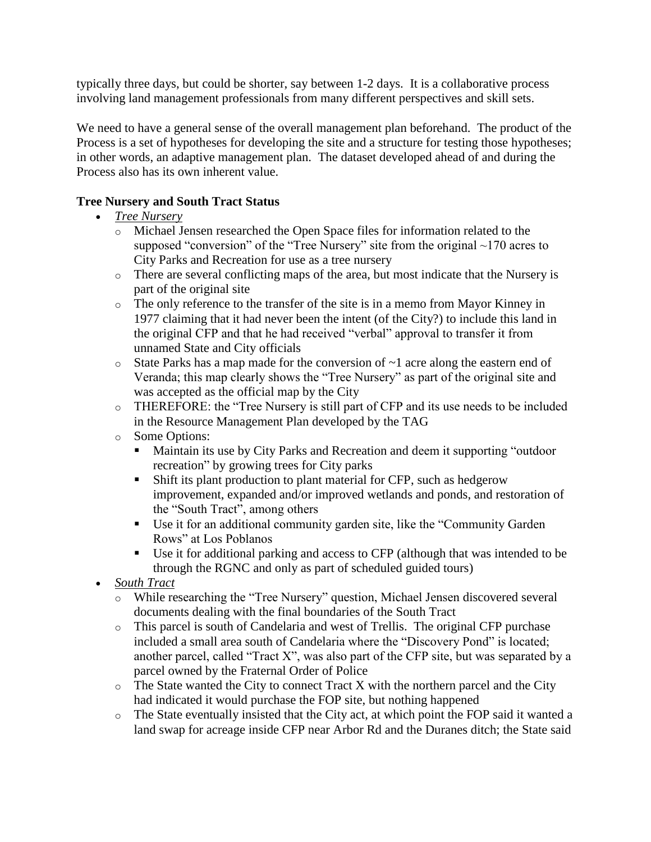typically three days, but could be shorter, say between 1-2 days. It is a collaborative process involving land management professionals from many different perspectives and skill sets.

We need to have a general sense of the overall management plan beforehand. The product of the Process is a set of hypotheses for developing the site and a structure for testing those hypotheses; in other words, an adaptive management plan. The dataset developed ahead of and during the Process also has its own inherent value.

## **Tree Nursery and South Tract Status**

- *Tree Nursery*
	- o Michael Jensen researched the Open Space files for information related to the supposed "conversion" of the "Tree Nursery" site from the original ~170 acres to City Parks and Recreation for use as a tree nursery
	- o There are several conflicting maps of the area, but most indicate that the Nursery is part of the original site
	- o The only reference to the transfer of the site is in a memo from Mayor Kinney in 1977 claiming that it had never been the intent (of the City?) to include this land in the original CFP and that he had received "verbal" approval to transfer it from unnamed State and City officials
	- $\circ$  State Parks has a map made for the conversion of  $\sim$  1 acre along the eastern end of Veranda; this map clearly shows the "Tree Nursery" as part of the original site and was accepted as the official map by the City
	- o THEREFORE: the "Tree Nursery is still part of CFP and its use needs to be included in the Resource Management Plan developed by the TAG
	- o Some Options:
		- Maintain its use by City Parks and Recreation and deem it supporting "outdoor recreation" by growing trees for City parks
		- Shift its plant production to plant material for CFP, such as hedgerow improvement, expanded and/or improved wetlands and ponds, and restoration of the "South Tract", among others
		- Use it for an additional community garden site, like the "Community Garden Rows" at Los Poblanos
		- Use it for additional parking and access to CFP (although that was intended to be through the RGNC and only as part of scheduled guided tours)
- *South Tract*
	- o While researching the "Tree Nursery" question, Michael Jensen discovered several documents dealing with the final boundaries of the South Tract
	- o This parcel is south of Candelaria and west of Trellis. The original CFP purchase included a small area south of Candelaria where the "Discovery Pond" is located; another parcel, called "Tract X", was also part of the CFP site, but was separated by a parcel owned by the Fraternal Order of Police
	- $\circ$  The State wanted the City to connect Tract X with the northern parcel and the City had indicated it would purchase the FOP site, but nothing happened
	- o The State eventually insisted that the City act, at which point the FOP said it wanted a land swap for acreage inside CFP near Arbor Rd and the Duranes ditch; the State said